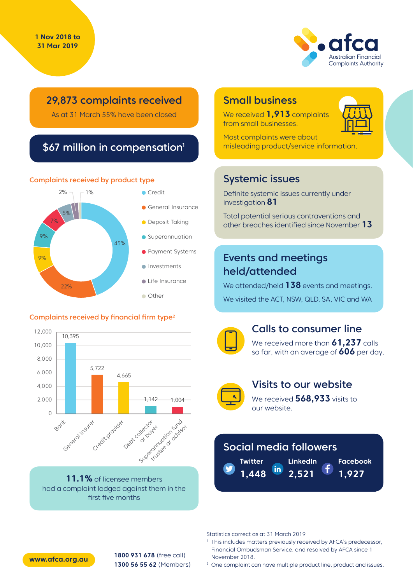

# 29,873 complaints received

As at 31 March 55% have been closed

## \$67 million in compensation<sup>1</sup>

#### Complaints received by product type



#### Complaints received by financial firm type<sup>2</sup>



**11.1%** of licensee members had a complaint lodged against them in the first five months

## Small business

We received **1,913** complaints from small businesses.



Most complaints were about misleading product/service information.

## Systemic issues

Definite systemic issues currently under investigation **81**

Total potential serious contraventions and other breaches identified since November **13**

# Events and meetings held/attended

We attended/held **138** events and meetings. We visited the ACT, NSW, QLD, SA, VIC and WA



## Calls to consumer line

We received more than **61,237** calls so far, with an average of **606** per day.



## Visits to our website

We received **568,933** visits to our website.

# Social media followers

**Twitter LinkedIn** in **1,448 2,521**

**Facebook 1,927**

Statistics correct as at 31 March 2019

<sup>1</sup> This includes matters previously received by AFCA's predecessor, Financial Ombudsman Service, and resolved by AFCA since 1 November 2018.

**1800 931 678** (free call) **1300 56 55 62** (Members) **www.afca.org.au**

<sup>2</sup> One complaint can have multiple product line, product and issues.